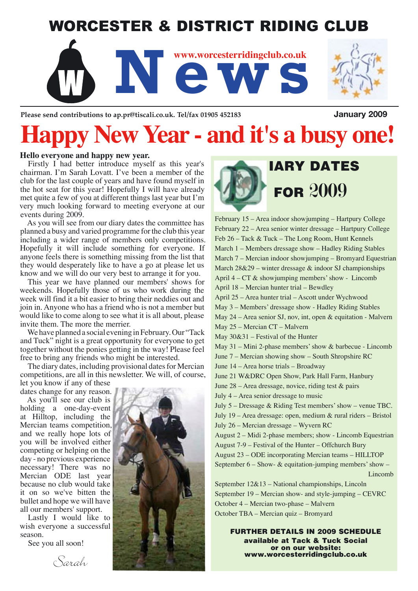### WORCESTER & DISTRICT RIDING CLUB



Please send contributions to ap.pr@tiscali.co.uk. Tel/fax 01905 452183 **January 2009** 

# **Happy New Year - and it's a busy one!**

#### **Hello everyone and happy new year.**

Firstly I had better introduce myself as this year's chairman. I'm Sarah Lovatt. I've been a member of the club for the last couple of years and have found myself in the hot seat for this year! Hopefully I will have already met quite a few of you at different things last year but I'm very much looking forward to meeting everyone at our events during 2009.

As you will see from our diary dates the committee has planned a busy and varied programme for the club this year including a wider range of members only competitions. Hopefully it will include something for everyone. If anyone feels there is something missing from the list that they would desperately like to have a go at please let us know and we will do our very best to arrange it for you.

This year we have planned our members' shows for weekends. Hopefully those of us who work during the week will find it a bit easier to bring their neddies out and join in. Anyone who has a friend who is not a member but would like to come along to see what it is all about, please invite them. The more the merrier.

We have planned a social evening in February. Our "Tack and Tuck" night is a great opportunity for everyone to get together without the ponies getting in the way! Please feel free to bring any friends who might be interested.

The diary dates, including provisional dates for Mercian competitions, are all in this newsletter. We will, of course,

let you know if any of these dates change for any reason.

As you'll see our club is holding a one-day-event at Hilltop, including the Mercian teams competition, and we really hope lots of you will be involved either competing or helping on the day - no previous experience necessary! There was no Mercian ODE last year because no club would take it on so we've bitten the bullet and hope we will have all our members' support.

Lastly I would like to wish everyone a successful season.

See you all soon!





## IARY DATES **FOR 2009**

February 15 – Area indoor showjumping – Hartpury College February 22 – Area senior winter dressage – Hartpury College Feb 26 – Tack & Tuck – The Long Room, Hunt Kennels March 1 – Members dressage show – Hadley Riding Stables March 7 – Mercian indoor showjumping – Bromyard Equestrian March 28&29 – winter dressage & indoor SJ championships April 4 – CT & showjumping members' show - Lincomb April 18 – Mercian hunter trial – Bewdley April 25 – Area hunter trial – Ascott under Wychwood May 3 – Members' dressage show - Hadley Riding Stables May 24 – Area senior SJ, nov, int, open & equitation - Malvern May 25 – Mercian CT – Malvern May 30&31 – Festival of the Hunter May 31 – Mini 2-phase members' show & barbecue - Lincomb June 7 – Mercian showing show – South Shropshire RC June 14 – Area horse trials – Broadway June 21 W&DRC Open Show, Park Hall Farm, Hanbury June 28 – Area dressage, novice, riding test & pairs July 4 – Area senior dressage to music July 5 – Dressage & Riding Test members' show – venue TBC. July 19 – Area dressage: open, medium & rural riders – Bristol July 26 – Mercian dressage – Wyvern RC August 2 – Midi 2-phase members; show - Lincomb Equestrian August 7-9 – Festival of the Hunter – Offchurch Bury August 23 – ODE incorporating Mercian teams – HILLTOP September  $6 -$  Show-  $\&$  equitation-jumping members' show  $-$  Lincomb September 12&13 – National championships, Lincoln September 19 – Mercian show- and style-jumping – CEVRC October 4 – Mercian two-phase – Malvern

October TBA – Mercian quiz – Bromyard

FURTHER DETAILS IN 2009 SCHEDULE available at Tack & Tuck Social or on our website: www.worcesterridingclub.co.uk

Sarah